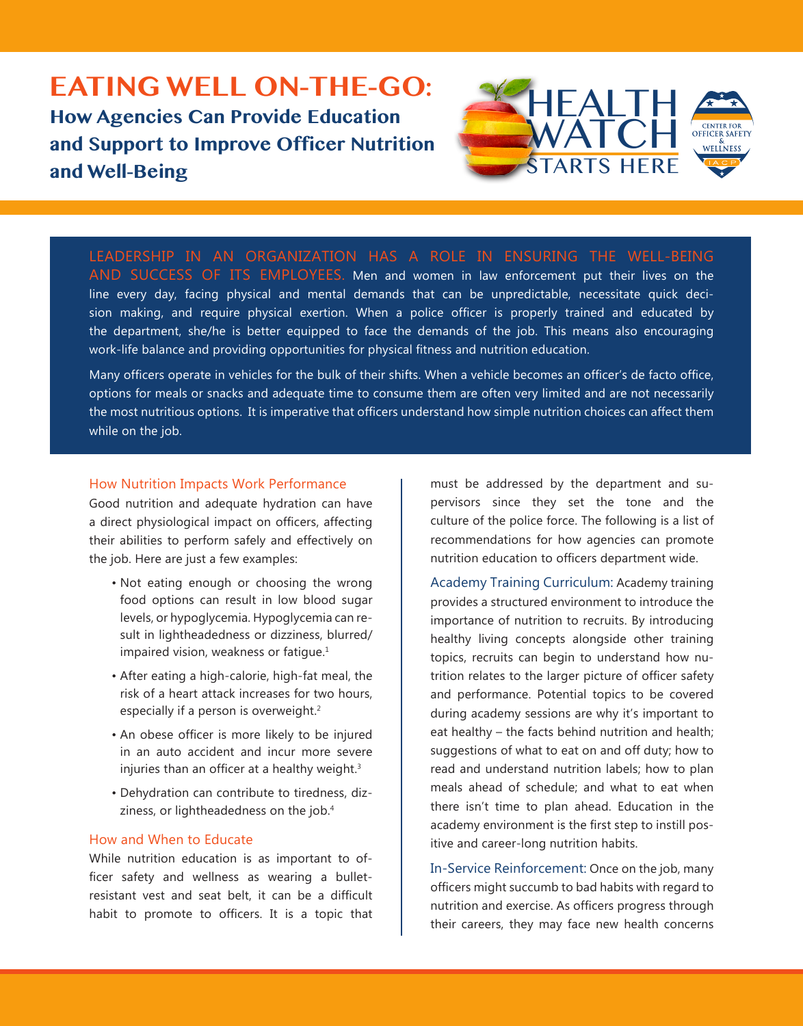## **EATING WELL ON-THE-GO: How Agencies Can Provide Education and Support to Improve Officer Nutrition and Well-Being**



LEADERSHIP IN AN ORGANIZATION HAS A ROLE IN ENSURING THE WELL-BEING AND SUCCESS OF ITS EMPLOYEES. Men and women in law enforcement put their lives on the line every day, facing physical and mental demands that can be unpredictable, necessitate quick decision making, and require physical exertion. When a police officer is properly trained and educated by the department, she/he is better equipped to face the demands of the job. This means also encouraging work-life balance and providing opportunities for physical fitness and nutrition education.

Many officers operate in vehicles for the bulk of their shifts. When a vehicle becomes an officer's de facto office, options for meals or snacks and adequate time to consume them are often very limited and are not necessarily the most nutritious options. It is imperative that officers understand how simple nutrition choices can affect them while on the job.

## How Nutrition Impacts Work Performance

Good nutrition and adequate hydration can have a direct physiological impact on officers, affecting their abilities to perform safely and effectively on the job. Here are just a few examples:

- Not eating enough or choosing the wrong food options can result in low blood sugar levels, or hypoglycemia. Hypoglycemia can result in lightheadedness or dizziness, blurred/ impaired vision, weakness or fatique.<sup>1</sup>
- After eating a high-calorie, high-fat meal, the risk of a heart attack increases for two hours, especially if a person is overweight.<sup>2</sup>
- An obese officer is more likely to be injured in an auto accident and incur more severe injuries than an officer at a healthy weight. $3$
- Dehydration can contribute to tiredness, dizziness, or lightheadedness on the job.<sup>4</sup>

## How and When to Educate

While nutrition education is as important to officer safety and wellness as wearing a bulletresistant vest and seat belt, it can be a difficult habit to promote to officers. It is a topic that

must be addressed by the department and supervisors since they set the tone and the culture of the police force. The following is a list of recommendations for how agencies can promote nutrition education to officers department wide.

Academy Training Curriculum: Academy training provides a structured environment to introduce the importance of nutrition to recruits. By introducing healthy living concepts alongside other training topics, recruits can begin to understand how nutrition relates to the larger picture of officer safety and performance. Potential topics to be covered during academy sessions are why it's important to eat healthy – the facts behind nutrition and health; suggestions of what to eat on and off duty; how to read and understand nutrition labels; how to plan meals ahead of schedule; and what to eat when there isn't time to plan ahead. Education in the academy environment is the first step to instill positive and career-long nutrition habits.

In-Service Reinforcement: Once on the job, many officers might succumb to bad habits with regard to nutrition and exercise. As officers progress through their careers, they may face new health concerns